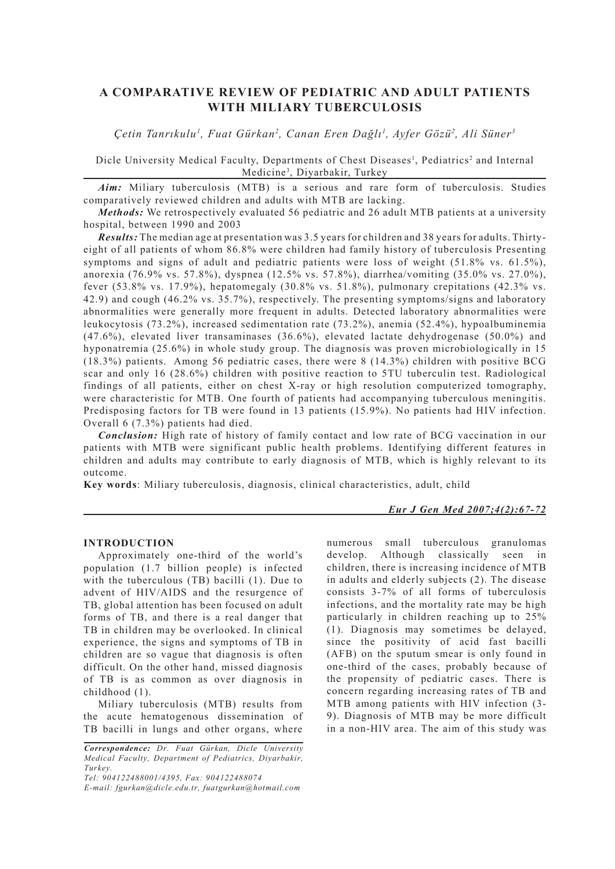# **A COMPARATIVE REVIEW OF PEDIATRIC AND ADULT PATIENTS WITH MILIARY TUBERCULOSIS**

*Çetin Tanrıkulu1 , Fuat Gürkan2 , Canan Eren Dağlı1 , Ayfer Gözü2 , Ali Süner3*

Dicle University Medical Faculty, Departments of Chest Diseases<sup>1</sup>, Pediatrics<sup>2</sup> and Internal Medicine3 , Diyarbakir, Turkey

*Aim:* Miliary tuberculosis (MTB) is a serious and rare form of tuberculosis. Studies comparatively reviewed children and adults with MTB are lacking.

*Methods:* We retrospectively evaluated 56 pediatric and 26 adult MTB patients at a university hospital, between 1990 and 2003

*Results:* The median age at presentation was 3.5 years for children and 38 years for adults. Thirtyeight of all patients of whom 86.8% were children had family history of tuberculosis Presenting symptoms and signs of adult and pediatric patients were loss of weight (51.8% vs. 61.5%), anorexia (76.9% vs. 57.8%), dyspnea (12.5% vs. 57.8%), diarrhea/vomiting (35.0% vs. 27.0%), fever (53.8% vs. 17.9%), hepatomegaly (30.8% vs. 51.8%), pulmonary crepitations (42.3% vs. 42.9) and cough (46.2% vs. 35.7%), respectively. The presenting symptoms/signs and laboratory abnormalities were generally more frequent in adults. Detected laboratory abnormalities were leukocytosis (73.2%), increased sedimentation rate (73.2%), anemia (52.4%), hypoalbuminemia (47.6%), elevated liver transaminases (36.6%), elevated lactate dehydrogenase (50.0%) and hyponatremia (25.6%) in whole study group. The diagnosis was proven microbiologically in 15 (18.3%) patients. Among 56 pediatric cases, there were 8 (14.3%) children with positive BCG scar and only 16 (28.6%) children with positive reaction to 5TU tuberculin test. Radiological findings of all patients, either on chest X-ray or high resolution computerized tomography, were characteristic for MTB. One fourth of patients had accompanying tuberculous meningitis. Predisposing factors for TB were found in 13 patients (15.9%). No patients had HIV infection. Overall 6 (7.3%) patients had died.

*Conclusion:* High rate of history of family contact and low rate of BCG vaccination in our patients with MTB were significant public health problems. Identifying different features in children and adults may contribute to early diagnosis of MTB, which is highly relevant to its outcome.

**Key words**: Miliary tuberculosis, diagnosis, clinical characteristics, adult, child

#### *Eur J Gen Med 2007;4(2):67-72*

### **INTRODUCTION**

Approximately one-third of the world's population (1.7 billion people) is infected with the tuberculous (TB) bacilli (1). Due to advent of HIV/AIDS and the resurgence of TB, global attention has been focused on adult forms of TB, and there is a real danger that TB in children may be overlooked. In clinical experience, the signs and symptoms of TB in children are so vague that diagnosis is often difficult. On the other hand, missed diagnosis of TB is as common as over diagnosis in childhood (1).

Miliary tuberculosis (MTB) results from the acute hematogenous dissemination of TB bacilli in lungs and other organs, where

*Tel: 904122488001/4395, Fax: 904122488074 E-mail: fgurkan@dicle.edu.tr, fuatgurkan@hotmail.com* numerous small tuberculous granulomas develop. Although classically seen in children, there is increasing incidence of MTB in adults and elderly subjects (2). The disease consists 3-7% of all forms of tuberculosis infections, and the mortality rate may be high particularly in children reaching up to 25% (1). Diagnosis may sometimes be delayed, since the positivity of acid fast bacilli (AFB) on the sputum smear is only found in one-third of the cases, probably because of the propensity of pediatric cases. There is concern regarding increasing rates of TB and MTB among patients with HIV infection (3- 9). Diagnosis of MTB may be more difficult in a non-HIV area. The aim of this study was

*Correspondence: Dr. Fuat Gürkan, Dicle University Medical Faculty, Department of Pediatrics, Diyarbakir, Turkey.*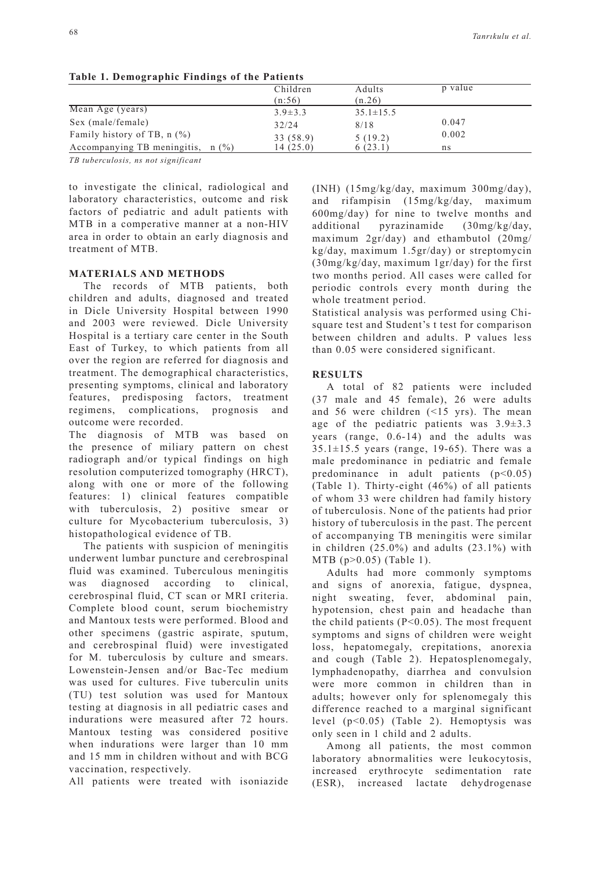| Table 1. Demographic Findings of the Fatients |               |                 |         |  |  |
|-----------------------------------------------|---------------|-----------------|---------|--|--|
|                                               | Children      | Adults          | p value |  |  |
|                                               | (n:56)        | (n.26)          |         |  |  |
| Mean Age (years)                              | $3.9 \pm 3.3$ | $35.1 \pm 15.5$ |         |  |  |
| Sex (male/female)                             | 32/24         | 8/18            | 0.047   |  |  |
| Family history of TB, $n$ $(\%)$              | 33 (58.9)     | 5(19.2)         | 0.002   |  |  |
| Accompanying TB meningitis, $n$ (%)           | 14 (25.0)     | 6(23.1)         | ns      |  |  |

**Table 1. Demographic Findings of the Patients** 

*TB tuberculosis, ns not significant*

to investigate the clinical, radiological and laboratory characteristics, outcome and risk factors of pediatric and adult patients with MTB in a comperative manner at a non-HIV area in order to obtain an early diagnosis and treatment of MTB.

# **MATERIALS AND METHODS**

The records of MTB patients, both children and adults, diagnosed and treated in Dicle University Hospital between 1990 and 2003 were reviewed. Dicle University Hospital is a tertiary care center in the South East of Turkey, to which patients from all over the region are referred for diagnosis and treatment. The demographical characteristics, presenting symptoms, clinical and laboratory features, predisposing factors, treatment regimens, complications, prognosis and outcome were recorded.

The diagnosis of MTB was based on the presence of miliary pattern on chest radiograph and/or typical findings on high resolution computerized tomography (HRCT), along with one or more of the following features: 1) clinical features compatible with tuberculosis, 2) positive smear or culture for Mycobacterium tuberculosis, 3) histopathological evidence of TB.

The patients with suspicion of meningitis underwent lumbar puncture and cerebrospinal fluid was examined. Tuberculous meningitis was diagnosed according to clinical, cerebrospinal fluid, CT scan or MRI criteria. Complete blood count, serum biochemistry and Mantoux tests were performed. Blood and other specimens (gastric aspirate, sputum, and cerebrospinal fluid) were investigated for M. tuberculosis by culture and smears. Lowenstein-Jensen and/or Bac-Tec medium was used for cultures. Five tuberculin units (TU) test solution was used for Mantoux testing at diagnosis in all pediatric cases and indurations were measured after 72 hours. Mantoux testing was considered positive when indurations were larger than 10 mm and 15 mm in children without and with BCG vaccination, respectively.

All patients were treated with isoniazide

(INH) (15mg/kg/day, maximum 300mg/day), and rifampisin (15mg/kg/day, maximum 600mg/day) for nine to twelve months and additional pyrazinamide (30mg/kg/day, maximum 2gr/day) and ethambutol (20mg/ kg/day, maximum 1.5gr/day) or streptomycin (30mg/kg/day, maximum 1gr/day) for the first two months period. All cases were called for periodic controls every month during the whole treatment period.

Statistical analysis was performed using Chisquare test and Student's t test for comparison between children and adults. P values less than 0.05 were considered significant.

## **RESULTS**

A total of 82 patients were included (37 male and 45 female), 26 were adults and 56 were children (<15 yrs). The mean age of the pediatric patients was 3.9±3.3 years (range, 0.6-14) and the adults was  $35.1 \pm 15.5$  years (range, 19-65). There was a male predominance in pediatric and female predominance in adult patients  $(p<0.05)$ (Table 1). Thirty-eight (46%) of all patients of whom 33 were children had family history of tuberculosis. None of the patients had prior history of tuberculosis in the past. The percent of accompanying TB meningitis were similar in children  $(25.0\%)$  and adults  $(23.1\%)$  with MTB (p>0.05) (Table 1).

Adults had more commonly symptoms and signs of anorexia, fatigue, dyspnea, night sweating, fever, abdominal pain, hypotension, chest pain and headache than the child patients  $(P<0.05)$ . The most frequent symptoms and signs of children were weight loss, hepatomegaly, crepitations, anorexia and cough (Table 2). Hepatosplenomegaly, lymphadenopathy, diarrhea and convulsion were more common in children than in adults; however only for splenomegaly this difference reached to a marginal significant level (p<0.05) (Table 2). Hemoptysis was only seen in 1 child and 2 adults.

Among all patients, the most common laboratory abnormalities were leukocytosis, increased erythrocyte sedimentation rate (ESR), increased lactate dehydrogenase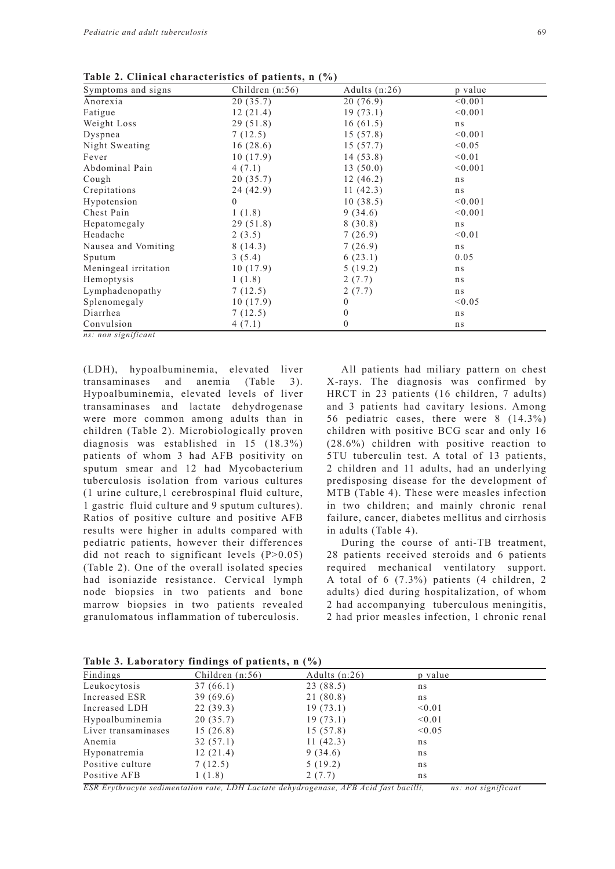| Symptoms and signs   | Children $(n:56)$ | Adults $(n:26)$  | p value |
|----------------------|-------------------|------------------|---------|
| Anorexia             | 20(35.7)          | 20(76.9)         | < 0.001 |
| Fatigue              | 12(21.4)          | 19(73.1)         | < 0.001 |
| Weight Loss          | 29(51.8)          | 16(61.5)         | ns      |
| Dyspnea              | 7(12.5)           | 15(57.8)         | < 0.001 |
| Night Sweating       | 16(28.6)          | 15(57.7)         | < 0.05  |
| Fever                | 10(17.9)          | 14(53.8)         | < 0.01  |
| Abdominal Pain       | 4(7.1)            | 13(50.0)         | < 0.001 |
| Cough                | 20(35.7)          | 12(46.2)         | ns      |
| Crepitations         | 24(42.9)          | 11(42.3)         | ns      |
| Hypotension          | $\theta$          | 10(38.5)         | < 0.001 |
| Chest Pain           | 1(1.8)            | 9(34.6)          | < 0.001 |
| Hepatomegaly         | 29(51.8)          | 8(30.8)          | ns      |
| Headache             | 2(3.5)            | 7(26.9)          | < 0.01  |
| Nausea and Vomiting  | 8(14.3)           | 7(26.9)          | ns      |
| Sputum               | 3(5.4)            | 6(23.1)          | 0.05    |
| Meningeal irritation | 10(17.9)          | 5(19.2)          | ns      |
| Hemoptysis           | 1(1.8)            | 2(7.7)           | ns      |
| Lymphadenopathy      | 7(12.5)           | 2(7.7)           | ns      |
| Splenomegaly         | 10(17.9)          | $\mathbf{0}$     | < 0.05  |
| Diarrhea             | 7(12.5)           | $\boldsymbol{0}$ | ns      |
| Convulsion           | 4(7.1)            | $\mathbf{0}$     | ns      |
| ns: non significant  |                   |                  |         |

**Table 2. Clinical characteristics of patients, n (%)**

(LDH), hypoalbuminemia, elevated liver transaminases and anemia (Table 3). Hypoalbuminemia, elevated levels of liver transaminases and lactate dehydrogenase were more common among adults than in children (Table 2). Microbiologically proven diagnosis was established in 15 (18.3%) patients of whom 3 had AFB positivity on sputum smear and 12 had Mycobacterium tuberculosis isolation from various cultures (1 urine culture,1 cerebrospinal fluid culture, 1 gastric fluid culture and 9 sputum cultures). Ratios of positive culture and positive AFB results were higher in adults compared with pediatric patients, however their differences did not reach to significant levels (P>0.05) (Table 2). One of the overall isolated species had isoniazide resistance. Cervical lymph node biopsies in two patients and bone marrow biopsies in two patients revealed granulomatous inflammation of tuberculosis.

All patients had miliary pattern on chest X-rays. The diagnosis was confirmed by HRCT in 23 patients (16 children, 7 adults) and 3 patients had cavitary lesions. Among 56 pediatric cases, there were 8 (14.3%) children with positive BCG scar and only 16 (28.6%) children with positive reaction to 5TU tuberculin test. A total of 13 patients, 2 children and 11 adults, had an underlying predisposing disease for the development of MTB (Table 4). These were measles infection in two children; and mainly chronic renal failure, cancer, diabetes mellitus and cirrhosis in adults (Table 4).

During the course of anti-TB treatment, 28 patients received steroids and 6 patients required mechanical ventilatory support. A total of 6 (7.3%) patients (4 children, 2 adults) died during hospitalization, of whom 2 had accompanying tuberculous meningitis, 2 had prior measles infection, 1 chronic renal

**Table 3. Laboratory findings of patients, n (%)**

| Findings            | Children $(n:56)$ | Adults $(n:26)$ | p value                  |  |
|---------------------|-------------------|-----------------|--------------------------|--|
| Leukocytosis        | 37(66.1)          | 23 (88.5)       | ns                       |  |
| Increased ESR       | 39(69.6)          | 21 (80.8)       | ns                       |  |
| Increased LDH       | 22(39.3)          | 19(73.1)        | < 0.01                   |  |
| Hypoalbuminemia     | 20(35.7)          | 19(73.1)        | < 0.01                   |  |
| Liver transaminases | 15(26.8)          | 15(57.8)        | < 0.05                   |  |
| Anemia              | 32(57.1)          | 11(42.3)        | ns                       |  |
| Hyponatremia        | 12(21.4)          | 9(34.6)         | ns                       |  |
| Positive culture    | 7(12.5)           | 5(19.2)         | ns                       |  |
| Positive AFB        | 1(1.8)            | 2(7.7)          | ns                       |  |
| ______              | -----             |                 | $\overline{\phantom{a}}$ |  |

*ESR Erythrocyte sedimentation rate, LDH Lactate dehydrogenase, AFB Acid fast bacilli, ns: not significant*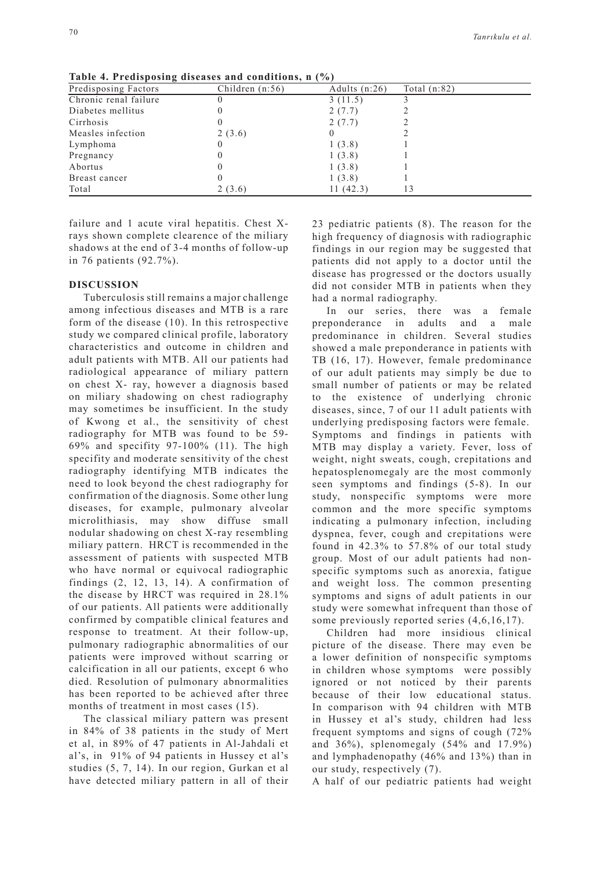| Predisposing Factors  | Children $(n:56)$ | Adults $(n:26)$ | Total $(n:82)$ |
|-----------------------|-------------------|-----------------|----------------|
| Chronic renal failure |                   | 3(11.5)         |                |
| Diabetes mellitus     |                   | 2(7.7)          |                |
| Cirrhosis             |                   | 2(7.7)          |                |
| Measles infection     | 2(3.6)            |                 |                |
| Lymphoma              |                   | 1(3.8)          |                |
| Pregnancy             |                   | 1(3.8)          |                |
| Abortus               |                   | 1(3.8)          |                |
| Breast cancer         |                   | 1(3.8)          |                |
| Total                 | 2(3.6)            | 11(42.3)        |                |

**Table 4. Predisposing diseases and conditions, n (%)**

failure and 1 acute viral hepatitis. Chest Xrays shown complete clearence of the miliary shadows at the end of 3-4 months of follow-up in 76 patients (92.7%).

#### **DISCUSSION**

Tuberculosis still remains a major challenge among infectious diseases and MTB is a rare form of the disease (10). In this retrospective study we compared clinical profile, laboratory characteristics and outcome in children and adult patients with MTB. All our patients had radiological appearance of miliary pattern on chest X- ray, however a diagnosis based on miliary shadowing on chest radiography may sometimes be insufficient. In the study of Kwong et al., the sensitivity of chest radiography for MTB was found to be 59- 69% and specifity 97-100% (11). The high specifity and moderate sensitivity of the chest radiography identifying MTB indicates the need to look beyond the chest radiography for confirmation of the diagnosis. Some other lung diseases, for example, pulmonary alveolar microlithiasis, may show diffuse small nodular shadowing on chest X-ray resembling miliary pattern. HRCT is recommended in the assessment of patients with suspected MTB who have normal or equivocal radiographic findings (2, 12, 13, 14). A confirmation of the disease by HRCT was required in 28.1% of our patients. All patients were additionally confirmed by compatible clinical features and response to treatment. At their follow-up, pulmonary radiographic abnormalities of our patients were improved without scarring or calcification in all our patients, except 6 who died. Resolution of pulmonary abnormalities has been reported to be achieved after three months of treatment in most cases (15).

The classical miliary pattern was present in 84% of 38 patients in the study of Mert et al, in 89% of 47 patients in Al-Jahdali et al's, in 91% of 94 patients in Hussey et al's studies (5, 7, 14). In our region, Gurkan et al have detected miliary pattern in all of their 23 pediatric patients (8). The reason for the high frequency of diagnosis with radiographic findings in our region may be suggested that patients did not apply to a doctor until the disease has progressed or the doctors usually did not consider MTB in patients when they had a normal radiography.

In our series, there was a female preponderance in adults and a male predominance in children. Several studies showed a male preponderance in patients with TB (16, 17). However, female predominance of our adult patients may simply be due to small number of patients or may be related to the existence of underlying chronic diseases, since, 7 of our 11 adult patients with underlying predisposing factors were female. Symptoms and findings in patients with MTB may display a variety. Fever, loss of weight, night sweats, cough, crepitations and hepatosplenomegaly are the most commonly seen symptoms and findings (5-8). In our study, nonspecific symptoms were more common and the more specific symptoms indicating a pulmonary infection, including dyspnea, fever, cough and crepitations were found in 42.3% to 57.8% of our total study group. Most of our adult patients had nonspecific symptoms such as anorexia, fatigue and weight loss. The common presenting symptoms and signs of adult patients in our study were somewhat infrequent than those of some previously reported series (4,6,16,17).

Children had more insidious clinical picture of the disease. There may even be a lower definition of nonspecific symptoms in children whose symptoms were possibly ignored or not noticed by their parents because of their low educational status. In comparison with 94 children with MTB in Hussey et al's study, children had less frequent symptoms and signs of cough (72% and 36%), splenomegaly (54% and 17.9%) and lymphadenopathy (46% and 13%) than in our study, respectively (7).

A half of our pediatric patients had weight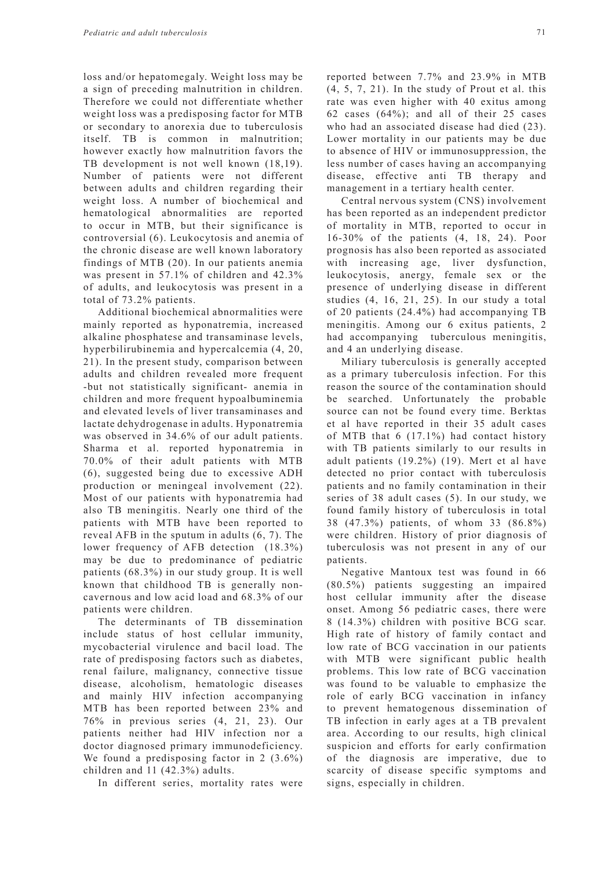loss and/or hepatomegaly. Weight loss may be a sign of preceding malnutrition in children. Therefore we could not differentiate whether weight loss was a predisposing factor for MTB or secondary to anorexia due to tuberculosis itself. TB is common in malnutrition; however exactly how malnutrition favors the TB development is not well known  $(18,19)$ . Number of patients were not different between adults and children regarding their weight loss. A number of biochemical and hematological abnormalities are reported to occur in MTB, but their significance is controversial (6). Leukocytosis and anemia of the chronic disease are well known laboratory findings of MTB (20). In our patients anemia was present in 57.1% of children and 42.3% of adults, and leukocytosis was present in a total of 73.2% patients.

Additional biochemical abnormalities were mainly reported as hyponatremia, increased alkaline phosphatese and transaminase levels, hyperbilirubinemia and hypercalcemia (4, 20, 21). In the present study, comparison between adults and children revealed more frequent -but not statistically significant- anemia in children and more frequent hypoalbuminemia and elevated levels of liver transaminases and lactate dehydrogenase in adults. Hyponatremia was observed in 34.6% of our adult patients. Sharma et al. reported hyponatremia in 70.0% of their adult patients with MTB (6), suggested being due to excessive ADH production or meningeal involvement (22). Most of our patients with hyponatremia had also TB meningitis. Nearly one third of the patients with MTB have been reported to reveal AFB in the sputum in adults (6, 7). The lower frequency of AFB detection (18.3%) may be due to predominance of pediatric patients (68.3%) in our study group. It is well known that childhood TB is generally noncavernous and low acid load and 68.3% of our patients were children.

The determinants of TB dissemination include status of host cellular immunity, mycobacterial virulence and bacil load. The rate of predisposing factors such as diabetes, renal failure, malignancy, connective tissue disease, alcoholism, hematologic diseases and mainly HIV infection accompanying MTB has been reported between 23% and 76% in previous series (4, 21, 23). Our patients neither had HIV infection nor a doctor diagnosed primary immunodeficiency. We found a predisposing factor in 2 (3.6%) children and 11 (42.3%) adults.

In different series, mortality rates were

reported between 7.7% and 23.9% in MTB  $(4, 5, 7, 21)$ . In the study of Prout et al. this rate was even higher with 40 exitus among 62 cases (64%); and all of their 25 cases who had an associated disease had died (23). Lower mortality in our patients may be due to absence of HIV or immunosuppression, the less number of cases having an accompanying disease, effective anti TB therapy and management in a tertiary health center.

Central nervous system (CNS) involvement has been reported as an independent predictor of mortality in MTB, reported to occur in 16-30% of the patients (4, 18, 24). Poor prognosis has also been reported as associated with increasing age, liver dysfunction, leukocytosis, anergy, female sex or the presence of underlying disease in different studies (4, 16, 21, 25). In our study a total of 20 patients (24.4%) had accompanying TB meningitis. Among our 6 exitus patients, 2 had accompanying tuberculous meningitis, and 4 an underlying disease.

Miliary tuberculosis is generally accepted as a primary tuberculosis infection. For this reason the source of the contamination should be searched. Unfortunately the probable source can not be found every time. Berktas et al have reported in their 35 adult cases of MTB that 6 (17.1%) had contact history with TB patients similarly to our results in adult patients (19.2%) (19). Mert et al have detected no prior contact with tuberculosis patients and no family contamination in their series of 38 adult cases (5). In our study, we found family history of tuberculosis in total 38 (47.3%) patients, of whom 33 (86.8%) were children. History of prior diagnosis of tuberculosis was not present in any of our patients.

Negative Mantoux test was found in 66 (80.5%) patients suggesting an impaired host cellular immunity after the disease onset. Among 56 pediatric cases, there were 8 (14.3%) children with positive BCG scar. High rate of history of family contact and low rate of BCG vaccination in our patients with MTB were significant public health problems. This low rate of BCG vaccination was found to be valuable to emphasize the role of early BCG vaccination in infancy to prevent hematogenous dissemination of TB infection in early ages at a TB prevalent area. According to our results, high clinical suspicion and efforts for early confirmation of the diagnosis are imperative, due to scarcity of disease specific symptoms and signs, especially in children.